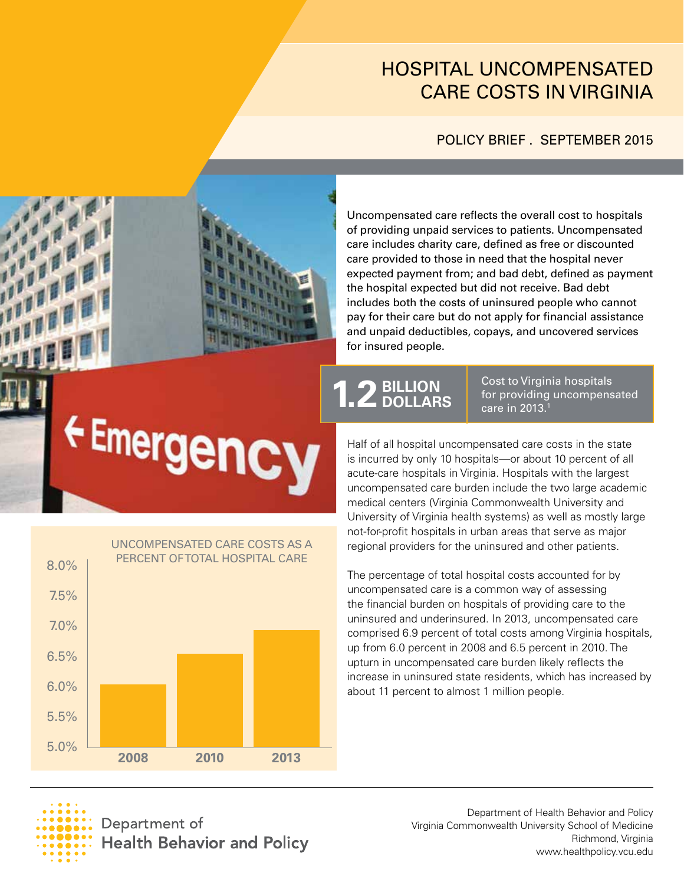# HOSPITAL UNCOMPENSATED CARE COSTS IN VIRGINIA

## POLICY BRIEF . SEPTEMBER 2015



Emergency

Uncompensated care reflects the overall cost to hospitals of providing unpaid services to patients. Uncompensated care includes charity care, defned as free or discounted care provided to those in need that the hospital never expected payment from; and bad debt, defined as payment the hospital expected but did not receive. Bad debt includes both the costs of uninsured people who cannot pay for their care but do not apply for fnancial assistance and unpaid deductibles, copays, and uncovered services for insured people.

# **1.2 BILLION** Cost to Virgin<br>for providing<br>care in 2013.<sup>1</sup> **DOLLARS**

Cost to Virginia hospitals for providing uncompensated

Half of all hospital uncompensated care costs in the state is incurred by only 10 hospitals—or about 10 percent of all acute-care hospitals in Virginia. Hospitals with the largest uncompensated care burden include the two large academic medical centers (Virginia Commonwealth University and University of Virginia health systems) as well as mostly large not-for-profit hospitals in urban areas that serve as major regional providers for the uninsured and other patients.

The percentage of total hospital costs accounted for by uncompensated care is a common way of assessing the financial burden on hospitals of providing care to the uninsured and underinsured. In 2013, uncompensated care comprised 6.9 percent of total costs among Virginia hospitals, up from 6.0 percent in 2008 and 6.5 percent in 2010. The upturn in uncompensated care burden likely refects the increase in uninsured state residents, which has increased by about 11 percent to almost 1 million people.





Department of **Health Behavior and Policy** 

Department of Health Behavior and Policy Virginia Commonwealth University School of Medicine Richmond, Virginia <www.healthpolicy.vcu.edu>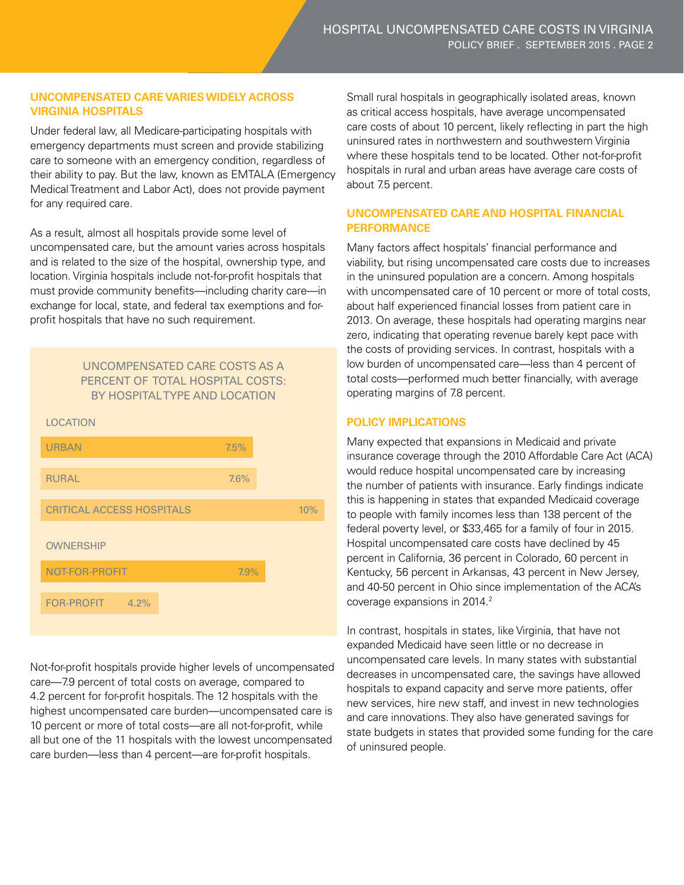### **UNCOMPENSATED CARE VARIES WIDELY ACROSS VIRGINIA HOSPITALS**

Under federal law, all Medicare-participating hospitals with emergency departments must screen and provide stabilizing care to someone with an emergency condition, regardless of their ability to pay. But the law, known as EMTALA (Emergency Medical Treatment and Labor Act), does not provide payment for any required care.

profit hospitals that have no such requirement. As a result, almost all hospitals provide some level of uncompensated care, but the amount varies across hospitals and is related to the size of the hospital, ownership type, and location. Virginia hospitals include not-for-profit hospitals that must provide community benefits—including charity care—in exchange for local, state, and federal tax exemptions and for-

#### UNCOMPENSATED CARE COSTS AS A PERCENT OF TOTAL HOSPITAL COSTS: BY HOSPITAL TYPE AND LOCATION



Not-for-profit hospitals provide higher levels of uncompensated care—7.9 percent of total costs on average, compared to 4.2 percent for for-profit hospitals. The 12 hospitals with the highest uncompensated care burden—uncompensated care is 10 percent or more of total costs—are all not-for-profit, while all but one of the 11 hospitals with the lowest uncompensated care burden—less than 4 percent—are for-profit hospitals.

 about 7.5 percent. Small rural hospitals in geographically isolated areas, known as critical access hospitals, have average uncompensated care costs of about 10 percent, likely refecting in part the high uninsured rates in northwestern and southwestern Virginia where these hospitals tend to be located. Other not-for-profit hospitals in rural and urban areas have average care costs of

#### **UNCOMPENSATED CARE AND HOSPITAL FINANCIAL PERFORMANCE**

 operating margins of 7.8 percent. Many factors affect hospitals' financial performance and viability, but rising uncompensated care costs due to increases in the uninsured population are a concern. Among hospitals with uncompensated care of 10 percent or more of total costs, about half experienced financial losses from patient care in 2013. On average, these hospitals had operating margins near zero, indicating that operating revenue barely kept pace with the costs of providing services. In contrast, hospitals with a low burden of uncompensated care—less than 4 percent of total costs—performed much better fnancially, with average

#### **POLICY IMPLICATIONS**

Many expected that expansions in Medicaid and private insurance coverage through the 2010 Affordable Care Act (ACA) would reduce hospital uncompensated care by increasing the number of patients with insurance. Early findings indicate this is happening in states that expanded Medicaid coverage to people with family incomes less than 138 percent of the federal poverty level, or \$33,465 for a family of four in 2015. Hospital uncompensated care costs have declined by 45 percent in California, 36 percent in Colorado, 60 percent in Kentucky, 56 percent in Arkansas, 43 percent in New Jersey, and 40-50 percent in Ohio since implementation of the ACA's coverage expansions in 2014.<sup>2</sup>

 of uninsured people. In contrast, hospitals in states, like Virginia, that have not expanded Medicaid have seen little or no decrease in uncompensated care levels. In many states with substantial decreases in uncompensated care, the savings have allowed hospitals to expand capacity and serve more patients, offer new services, hire new staff, and invest in new technologies and care innovations. They also have generated savings for state budgets in states that provided some funding for the care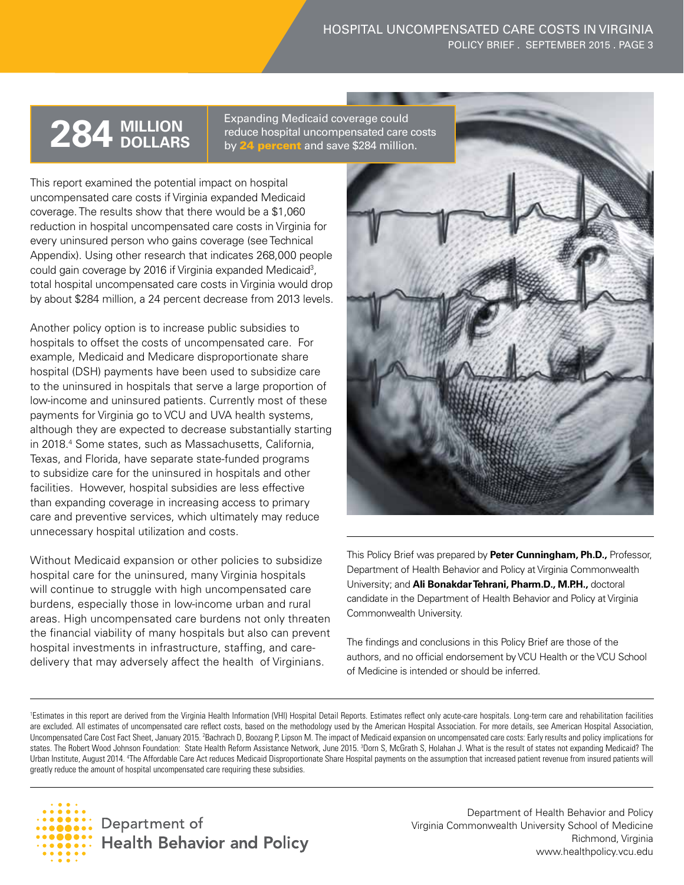#### HOSPITAL UNCOMPENSATED CARE COSTS IN VIRGINIA POLICY BRIEF . SEPTEMBER 2015 . PAGE 3

**284 MILLION** Expanding Medicaid coverage could<br> **284 DOLLARS** by **24 percent** and save \$284 million by 24 percent and save \$284 million.

every uninsured person who gains coverage (see Technical This report examined the potential impact on hospital uncompensated care costs if Virginia expanded Medicaid coverage. The results show that there would be a \$1,060 reduction in hospital uncompensated care costs in Virginia for Appendix). Using other research that indicates 268,000 people could gain coverage by 2016 if Virginia expanded Medicaid3 , total hospital uncompensated care costs in Virginia would drop by about \$284 million, a 24 percent decrease from 2013 levels.

Another policy option is to increase public subsidies to hospitals to offset the costs of uncompensated care. For example, Medicaid and Medicare disproportionate share hospital (DSH) payments have been used to subsidize care to the uninsured in hospitals that serve a large proportion of low-income and uninsured patients. Currently most of these payments for Virginia go to VCU and UVA health systems, although they are expected to decrease substantially starting in 2018.4 Some states, such as Massachusetts, California, Texas, and Florida, have separate state-funded programs to subsidize care for the uninsured in hospitals and other facilities. However, hospital subsidies are less effective than expanding coverage in increasing access to primary care and preventive services, which ultimately may reduce unnecessary hospital utilization and costs.

delivery that may adversely affect the health of Virginians. Without Medicaid expansion or other policies to subsidize hospital care for the uninsured, many Virginia hospitals will continue to struggle with high uncompensated care burdens, especially those in low-income urban and rural areas. High uncompensated care burdens not only threaten the financial viability of many hospitals but also can prevent hospital investments in infrastructure, staffing, and care-Without Medicaid expansion or other policies to subsidize<br>
hospital care for the uninsured, many Virginia hospitals<br>
will continue to struggle with high uncompensated care<br>
burdens, especially those in low-income urban and



 candidate in the Department of Health Behavior and Policy at Virginia Commonwealth University. Department of Health Behavior and Policy at Virginia Commonwealth University; and **Ali Bonakdar Tehrani, Pharm.D., M.P.H.,** doctoral

The findings and conclusions in this Policy Brief are those of the authors, and no official endorsement by VCU Health or the VCU School of Medicine is intended or should be inferred.

<sup>1</sup>Estimates in this report are derived from the Virginia Health Information (VHI) Hospital Detail Reports. Estimates reflect only acute-care hospitals. Long-term care and rehabilitation facilities are excluded. All estimates of uncompensated care reflect costs, based on the methodology used by the American Hospital Association. For more details, see American Hospital Association, Uncompensated Care Cost Fact Sheet, January 2015. 'Bachrach D, Boozang P, Lipson M. The impact of Medicaid expansion on uncompensated care costs: Early results and policy implications for states. The Robert Wood Johnson Foundation: State Health Reform Assistance Network, June 2015. <sup>3</sup>Dorn S, McGrath S, Holahan J. What is the result of states not expanding Medicaid? The Urban Institute, August 2014. 4 The Affordable Care Act reduces Medicaid Disproportionate Share Hospital payments on the assumption that increased patient revenue from insured patients will greatly reduce the amount of hospital uncompensated care requiring these subsidies.



Department of Health Behavior and Policy Virginia Commonwealth University School of Medicine Richmond, Virginia <www.healthpolicy.vcu.edu>